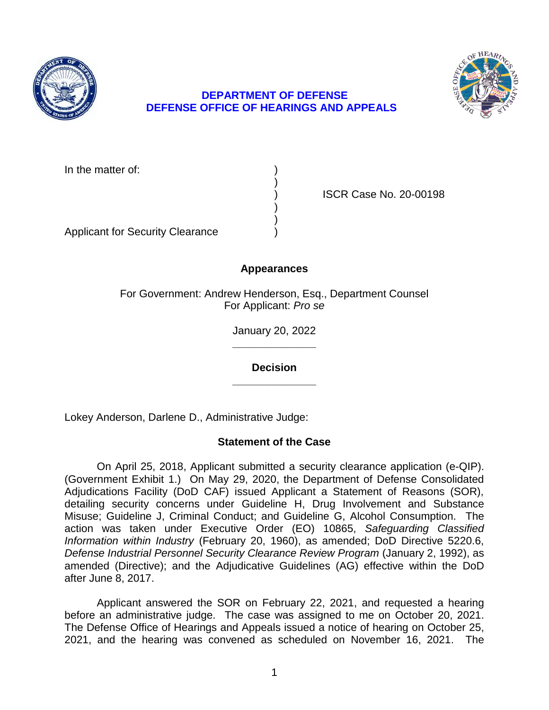

# **DEPARTMENT OF DEFENSE DEFENSE OFFICE OF HEARINGS AND APPEALS**

In the matter of:

) ISCR Case No. 20-00198

Applicant for Security Clearance )

# **Appearances**

)

) )

For Government: Andrew Henderson, Esq., Department Counsel For Applicant: *Pro se* 

> **\_\_\_\_\_\_\_\_\_\_\_\_\_\_**  January 20, 2022

**\_\_\_\_\_\_\_\_\_\_\_\_\_\_ Decision** 

Lokey Anderson, Darlene D., Administrative Judge:

# **Statement of the Case**

 On April 25, 2018, Applicant submitted a security clearance application (e-QIP). (Government Exhibit 1.) On May 29, 2020, the Department of Defense Consolidated Adjudications Facility (DoD CAF) issued Applicant a Statement of Reasons (SOR), detailing security concerns under Guideline H, Drug Involvement and Substance Misuse; Guideline J, Criminal Conduct; and Guideline G, Alcohol Consumption. The  action was taken under Executive Order (EO) 10865, *Safeguarding Classified Information within Industry* (February 20, 1960), as amended; DoD Directive 5220.6, amended (Directive); and the Adjudicative Guidelines (AG) effective within the DoD *Defense Industrial Personnel Security Clearance Review Program* (January 2, 1992), as after June 8, 2017.

 Applicant answered the SOR on February 22, 2021, and requested a hearing before an administrative judge. The case was assigned to me on October 20, 2021. The Defense Office of Hearings and Appeals issued a notice of hearing on October 25, 2021, and the hearing was convened as scheduled on November 16, 2021. The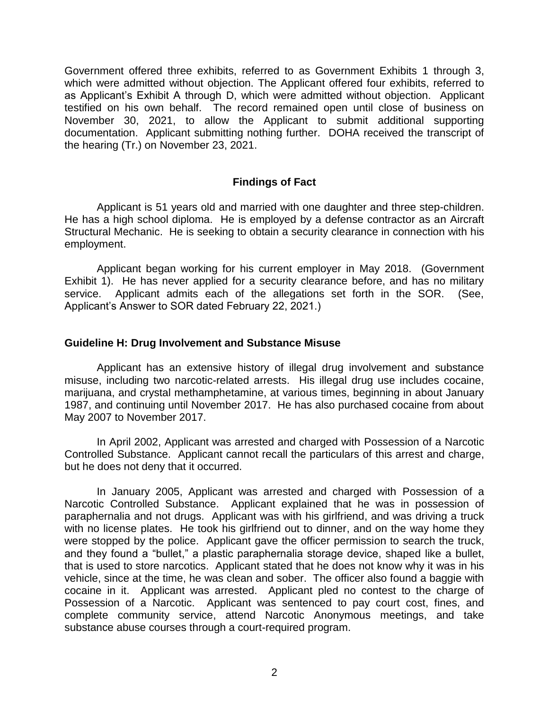Government offered three exhibits, referred to as Government Exhibits 1 through 3, which were admitted without objection. The Applicant offered four exhibits, referred to as Applicant's Exhibit A through D, which were admitted without objection. Applicant testified on his own behalf. The record remained open until close of business on November 30, 2021, to allow the Applicant to submit additional supporting documentation. Applicant submitting nothing further. DOHA received the transcript of the hearing (Tr.) on November 23, 2021.

## **Findings of Fact**

 Applicant is 51 years old and married with one daughter and three step-children. He has a high school diploma. He is employed by a defense contractor as an Aircraft Structural Mechanic. He is seeking to obtain a security clearance in connection with his employment.

 employment. Applicant began working for his current employer in May 2018. (Government Exhibit 1). He has never applied for a security clearance before, and has no military service. Applicant admits each of the allegations set forth in the SOR. (See, Applicant's Answer to SOR dated February 22, 2021.)

## **Guideline H: Drug Involvement and Substance Misuse**

 Applicant has an extensive history of illegal drug involvement and substance misuse, including two narcotic-related arrests. His illegal drug use includes cocaine, 1987, and continuing until November 2017. He has also purchased cocaine from about marijuana, and crystal methamphetamine, at various times, beginning in about January May 2007 to November 2017.

 In April 2002, Applicant was arrested and charged with Possession of a Narcotic Controlled Substance. Applicant cannot recall the particulars of this arrest and charge, but he does not deny that it occurred.

 In January 2005, Applicant was arrested and charged with Possession of a Narcotic Controlled Substance. Applicant explained that he was in possession of paraphernalia and not drugs. Applicant was with his girlfriend, and was driving a truck with no license plates. He took his girlfriend out to dinner, and on the way home they were stopped by the police. Applicant gave the officer permission to search the truck, and they found a "bullet," a plastic paraphernalia storage device, shaped like a bullet, that is used to store narcotics. Applicant stated that he does not know why it was in his vehicle, since at the time, he was clean and sober. The officer also found a baggie with cocaine in it. Applicant was arrested. Applicant pled no contest to the charge of Possession of a Narcotic. Applicant was sentenced to pay court cost, fines, and complete community service, attend Narcotic Anonymous meetings, and take substance abuse courses through a court-required program.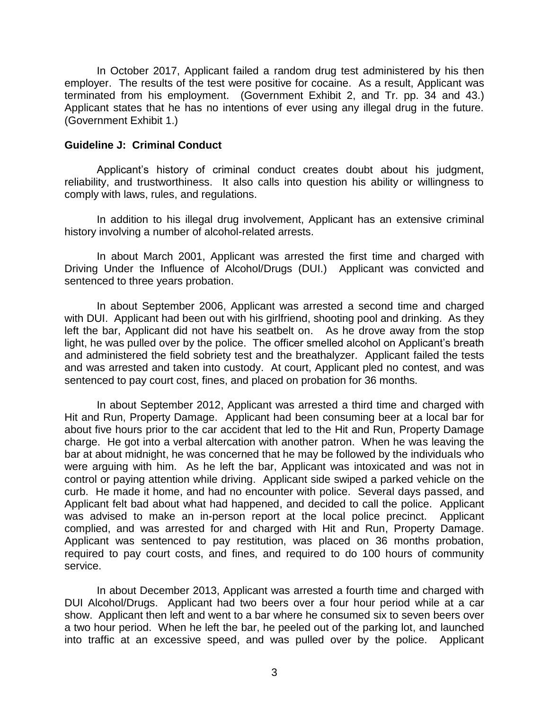In October 2017, Applicant failed a random drug test administered by his then employer. The results of the test were positive for cocaine. As a result, Applicant was terminated from his employment. (Government Exhibit 2, and Tr. pp. 34 and 43.) Applicant states that he has no intentions of ever using any illegal drug in the future. (Government Exhibit 1.)

#### **Guideline J: Criminal Conduct**

 reliability, and trustworthiness. It also calls into question his ability or willingness to Applicant's history of criminal conduct creates doubt about his judgment, comply with laws, rules, and regulations.

 In addition to his illegal drug involvement, Applicant has an extensive criminal history involving a number of alcohol-related arrests.

history involving a number of alcohol-related arrests.<br>In about March 2001, Applicant was arrested the first time and charged with Driving Under the Influence of Alcohol/Drugs (DUI.) Applicant was convicted and sentenced to three years probation.

 In about September 2006, Applicant was arrested a second time and charged with DUI. Applicant had been out with his girlfriend, shooting pool and drinking. As they left the bar, Applicant did not have his seatbelt on. As he drove away from the stop and administered the field sobriety test and the breathalyzer. Applicant failed the tests and was arrested and taken into custody. At court, Applicant pled no contest, and was sentenced to pay court cost, fines, and placed on probation for 36 months. light, he was pulled over by the police. The officer smelled alcohol on Applicant's breath

 In about September 2012, Applicant was arrested a third time and charged with Hit and Run, Property Damage. Applicant had been consuming beer at a local bar for about five hours prior to the car accident that led to the Hit and Run, Property Damage charge. He got into a verbal altercation with another patron. When he was leaving the were arguing with him. As he left the bar, Applicant was intoxicated and was not in control or paying attention while driving. Applicant side swiped a parked vehicle on the curb. He made it home, and had no encounter with police. Several days passed, and Applicant felt bad about what had happened, and decided to call the police. Applicant was advised to make an in-person report at the local police precinct. Applicant complied, and was arrested for and charged with Hit and Run, Property Damage. Applicant was sentenced to pay restitution, was placed on 36 months probation, required to pay court costs, and fines, and required to do 100 hours of community service. bar at about midnight, he was concerned that he may be followed by the individuals who

service.<br>In about December 2013, Applicant was arrested a fourth time and charged with DUI Alcohol/Drugs. Applicant had two beers over a four hour period while at a car a two hour period. When he left the bar, he peeled out of the parking lot, and launched into traffic at an excessive speed, and was pulled over by the police. Applicant show. Applicant then left and went to a bar where he consumed six to seven beers over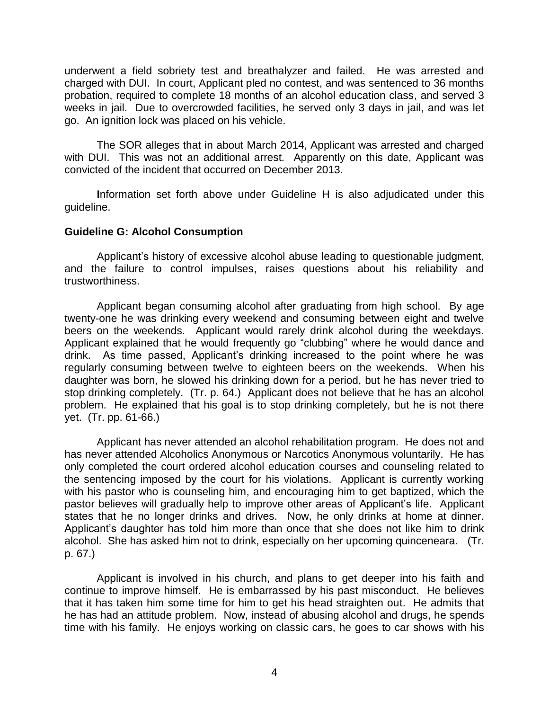underwent a field sobriety test and breathalyzer and failed. He was arrested and charged with DUI. In court, Applicant pled no contest, and was sentenced to 36 months probation, required to complete 18 months of an alcohol education class, and served 3 weeks in jail. Due to overcrowded facilities, he served only 3 days in jail, and was let go. An ignition lock was placed on his vehicle.

 The SOR alleges that in about March 2014, Applicant was arrested and charged with DUI. This was not an additional arrest. Apparently on this date, Applicant was convicted of the incident that occurred on December 2013.

 **I**nformation set forth above under Guideline H is also adjudicated under this guideline.

## **Guideline G: Alcohol Consumption**

 Applicant's history of excessive alcohol abuse leading to questionable judgment, and the failure to control impulses, raises questions about his reliability and trustworthiness.

trustworthiness.<br>Applicant began consuming alcohol after graduating from high school. By age twenty-one he was drinking every weekend and consuming between eight and twelve beers on the weekends. Applicant would rarely drink alcohol during the weekdays. Applicant explained that he would frequently go "clubbing" where he would dance and drink. As time passed, Applicant's drinking increased to the point where he was regularly consuming between twelve to eighteen beers on the weekends. When his daughter was born, he slowed his drinking down for a period, but he has never tried to stop drinking completely. (Tr. p. 64.) Applicant does not believe that he has an alcohol problem. He explained that his goal is to stop drinking completely, but he is not there yet. (Tr. pp. 61-66.)

 Applicant has never attended an alcohol rehabilitation program. He does not and has never attended Alcoholics Anonymous or Narcotics Anonymous voluntarily. He has only completed the court ordered alcohol education courses and counseling related to the sentencing imposed by the court for his violations. Applicant is currently working with his pastor who is counseling him, and encouraging him to get baptized, which the states that he no longer drinks and drives. Now, he only drinks at home at dinner. Applicant's daughter has told him more than once that she does not like him to drink alcohol. She has asked him not to drink, especially on her upcoming quinceneara. (Tr. pastor believes will gradually help to improve other areas of Applicant's life. Applicant p. 67.)

 Applicant is involved in his church, and plans to get deeper into his faith and continue to improve himself. He is embarrassed by his past misconduct. He believes that it has taken him some time for him to get his head straighten out. He admits that he has had an attitude problem. Now, instead of abusing alcohol and drugs, he spends time with his family. He enjoys working on classic cars, he goes to car shows with his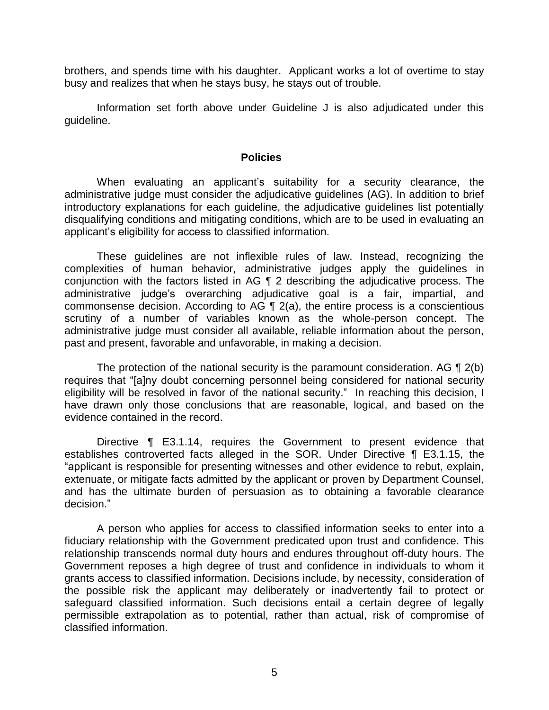brothers, and spends time with his daughter. Applicant works a lot of overtime to stay busy and realizes that when he stays busy, he stays out of trouble.

 Information set forth above under Guideline J is also adjudicated under this guideline.

#### **Policies**

 When evaluating an applicant's suitability for a security clearance, the administrative judge must consider the adjudicative guidelines (AG). In addition to brief introductory explanations for each guideline, the adjudicative guidelines list potentially disqualifying conditions and mitigating conditions, which are to be used in evaluating an applicant's eligibility for access to classified information.

 These guidelines are not inflexible rules of law. Instead, recognizing the complexities of human behavior, administrative judges apply the guidelines in conjunction with the factors listed in AG ¶ 2 describing the adjudicative process. The commonsense decision. According to AG ¶ 2(a), the entire process is a conscientious scrutiny of a number of variables known as the whole-person concept. The administrative judge must consider all available, reliable information about the person, administrative judge's overarching adjudicative goal is a fair, impartial, and past and present, favorable and unfavorable, in making a decision.

The protection of the national security is the paramount consideration. AG  $\P$  2(b) eligibility will be resolved in favor of the national security." In reaching this decision, I have drawn only those conclusions that are reasonable, logical, and based on the requires that "[a]ny doubt concerning personnel being considered for national security evidence contained in the record.

 Directive ¶ E3.1.14, requires the Government to present evidence that establishes controverted facts alleged in the SOR. Under Directive ¶ E3.1.15, the "applicant is responsible for presenting witnesses and other evidence to rebut, explain, and has the ultimate burden of persuasion as to obtaining a favorable clearance extenuate, or mitigate facts admitted by the applicant or proven by Department Counsel, decision."

 A person who applies for access to classified information seeks to enter into a fiduciary relationship with the Government predicated upon trust and confidence. This relationship transcends normal duty hours and endures throughout off-duty hours. The Government reposes a high degree of trust and confidence in individuals to whom it grants access to classified information. Decisions include, by necessity, consideration of the possible risk the applicant may deliberately or inadvertently fail to protect or safeguard classified information. Such decisions entail a certain degree of legally permissible extrapolation as to potential, rather than actual, risk of compromise of classified information.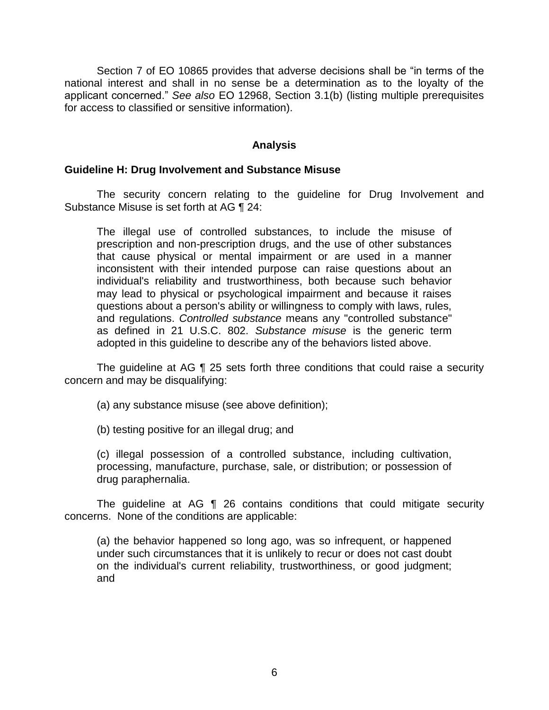Section 7 of EO 10865 provides that adverse decisions shall be "in terms of the national interest and shall in no sense be a determination as to the loyalty of the applicant concerned." *See also* EO 12968, Section 3.1(b) (listing multiple prerequisites for access to classified or sensitive information).

## **Analysis**

#### **Guideline H: Drug Involvement and Substance Misuse**

 The security concern relating to the guideline for Drug Involvement and Substance Misuse is set forth at AG ¶ 24:

The illegal use of controlled substances, to include the misuse of prescription and non-prescription drugs, and the use of other substances that cause physical or mental impairment or are used in a manner inconsistent with their intended purpose can raise questions about an individual's reliability and trustworthiness, both because such behavior may lead to physical or psychological impairment and because it raises questions about a person's ability or willingness to comply with laws, rules, and regulations. *Controlled substance* means any "controlled substance" as defined in 21 U.S.C. 802. *Substance misuse* is the generic term adopted in this guideline to describe any of the behaviors listed above.

 The guideline at AG ¶ 25 sets forth three conditions that could raise a security concern and may be disqualifying:

(a) any substance misuse (see above definition);

(b) testing positive for an illegal drug; and

 (c) illegal possession of a controlled substance, including cultivation, processing, manufacture, purchase, sale, or distribution; or possession of drug paraphernalia.

 The guideline at AG ¶ 26 contains conditions that could mitigate security concerns. None of the conditions are applicable:

 (a) the behavior happened so long ago, was so infrequent, or happened under such circumstances that it is unlikely to recur or does not cast doubt on the individual's current reliability, trustworthiness, or good judgment; and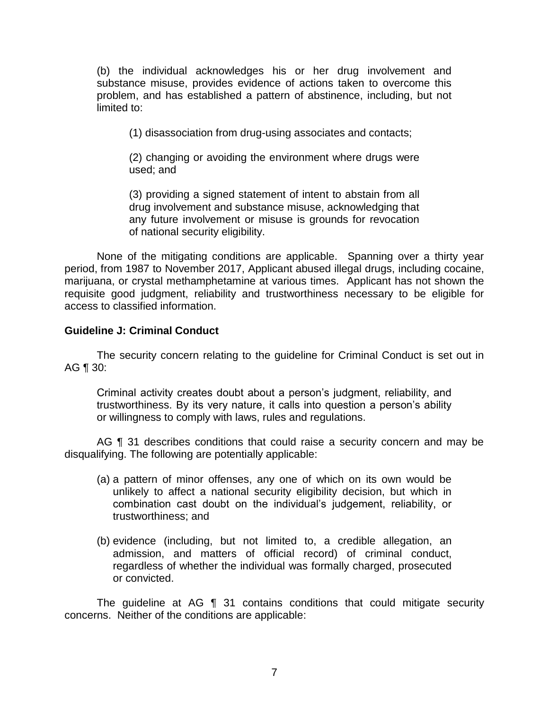(b) the individual acknowledges his or her drug involvement and substance misuse, provides evidence of actions taken to overcome this problem, and has established a pattern of abstinence, including, but not limited to:

(1) disassociation from drug-using associates and contacts;

(2) changing or avoiding the environment where drugs were used; and

 (3) providing a signed statement of intent to abstain from all drug involvement and substance misuse, acknowledging that any future involvement or misuse is grounds for revocation of national security eligibility.

 None of the mitigating conditions are applicable. Spanning over a thirty year period, from 1987 to November 2017, Applicant abused illegal drugs, including cocaine, marijuana, or crystal methamphetamine at various times. Applicant has not shown the requisite good judgment, reliability and trustworthiness necessary to be eligible for access to classified information.

# **Guideline J: Criminal Conduct**

 The security concern relating to the guideline for Criminal Conduct is set out in AG ¶ 30:

Criminal activity creates doubt about a person's judgment, reliability, and trustworthiness. By its very nature, it calls into question a person's ability or willingness to comply with laws, rules and regulations.

AG ¶ 31 describes conditions that could raise a security concern and may be disqualifying. The following are potentially applicable:

- (a) a pattern of minor offenses, any one of which on its own would be unlikely to affect a national security eligibility decision, but which in combination cast doubt on the individual's judgement, reliability, or trustworthiness; and
- (b) evidence (including, but not limited to, a credible allegation, an admission, and matters of official record) of criminal conduct, regardless of whether the individual was formally charged, prosecuted or convicted.

 The guideline at AG ¶ 31 contains conditions that could mitigate security concerns. Neither of the conditions are applicable: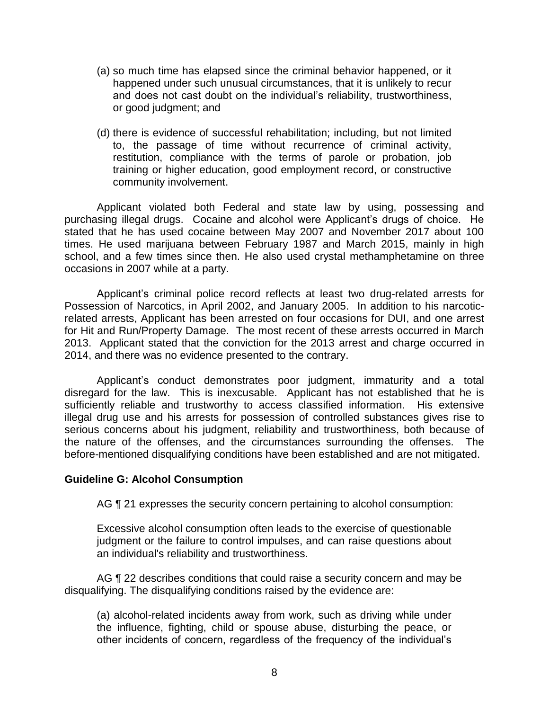- (a) so much time has elapsed since the criminal behavior happened, or it happened under such unusual circumstances, that it is unlikely to recur and does not cast doubt on the individual's reliability, trustworthiness, or good judgment; and
- (d) there is evidence of successful rehabilitation; including, but not limited to, the passage of time without recurrence of criminal activity, restitution, compliance with the terms of parole or probation, job training or higher education, good employment record, or constructive community involvement.

 Applicant violated both Federal and state law by using, possessing and purchasing illegal drugs. Cocaine and alcohol were Applicant's drugs of choice. He stated that he has used cocaine between May 2007 and November 2017 about 100 times. He used marijuana between February 1987 and March 2015, mainly in high school, and a few times since then. He also used crystal methamphetamine on three occasions in 2007 while at a party.

 Possession of Narcotics, in April 2002, and January 2005. In addition to his narcotic- related arrests, Applicant has been arrested on four occasions for DUI, and one arrest for Hit and Run/Property Damage. The most recent of these arrests occurred in March 2013. Applicant stated that the conviction for the 2013 arrest and charge occurred in Applicant's criminal police record reflects at least two drug-related arrests for 2014, and there was no evidence presented to the contrary.

 Applicant's conduct demonstrates poor judgment, immaturity and a total disregard for the law. This is inexcusable. Applicant has not established that he is sufficiently reliable and trustworthy to access classified information. His extensive illegal drug use and his arrests for possession of controlled substances gives rise to serious concerns about his judgment, reliability and trustworthiness, both because of the nature of the offenses, and the circumstances surrounding the offenses. The before-mentioned disqualifying conditions have been established and are not mitigated.

#### **Guideline G: Alcohol Consumption**

AG  $\P$  21 expresses the security concern pertaining to alcohol consumption:

Excessive alcohol consumption often leads to the exercise of questionable judgment or the failure to control impulses, and can raise questions about an individual's reliability and trustworthiness.

AG ¶ 22 describes conditions that could raise a security concern and may be disqualifying. The disqualifying conditions raised by the evidence are:

(a) alcohol-related incidents away from work, such as driving while under the influence, fighting, child or spouse abuse, disturbing the peace, or other incidents of concern, regardless of the frequency of the individual's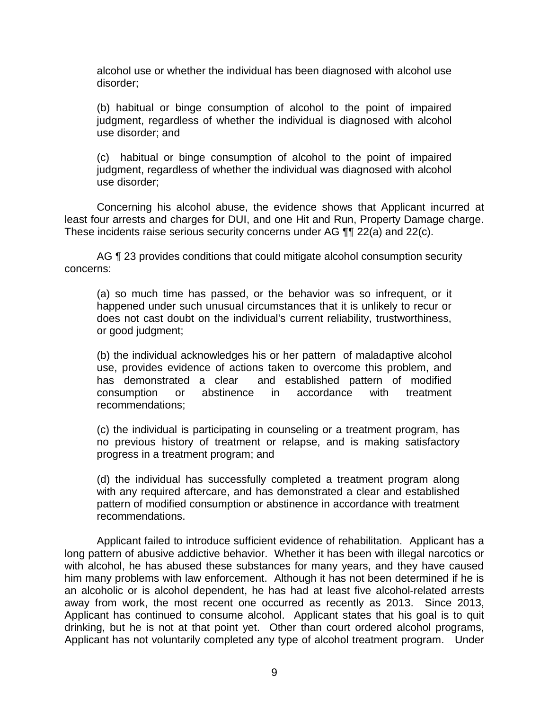alcohol use or whether the individual has been diagnosed with alcohol use disorder;

(b) habitual or binge consumption of alcohol to the point of impaired judgment, regardless of whether the individual is diagnosed with alcohol use disorder; and

 (c) habitual or binge consumption of alcohol to the point of impaired judgment, regardless of whether the individual was diagnosed with alcohol use disorder;

 Concerning his alcohol abuse, the evidence shows that Applicant incurred at least four arrests and charges for DUI, and one Hit and Run, Property Damage charge. These incidents raise serious security concerns under AG ¶¶ 22(a) and 22(c).

AG ¶ 23 provides conditions that could mitigate alcohol consumption security concerns:

(a) so much time has passed, or the behavior was so infrequent, or it happened under such unusual circumstances that it is unlikely to recur or does not cast doubt on the individual's current reliability, trustworthiness, or good judgment;

(b) the individual acknowledges his or her pattern of maladaptive alcohol use, provides evidence of actions taken to overcome this problem, and has demonstrated a clear and established pattern of modified consumption or abstinence in accordance with treatment recommendations;

(c) the individual is participating in counseling or a treatment program, has no previous history of treatment or relapse, and is making satisfactory progress in a treatment program; and

 (d) the individual has successfully completed a treatment program along with any required aftercare, and has demonstrated a clear and established pattern of modified consumption or abstinence in accordance with treatment recommendations.

 Applicant failed to introduce sufficient evidence of rehabilitation. Applicant has a with alcohol, he has abused these substances for many years, and they have caused him many problems with law enforcement. Although it has not been determined if he is an alcoholic or is alcohol dependent, he has had at least five alcohol-related arrests away from work, the most recent one occurred as recently as 2013. Since 2013, Applicant has continued to consume alcohol. Applicant states that his goal is to quit drinking, but he is not at that point yet. Other than court ordered alcohol programs, Applicant has not voluntarily completed any type of alcohol treatment program. Under long pattern of abusive addictive behavior. Whether it has been with illegal narcotics or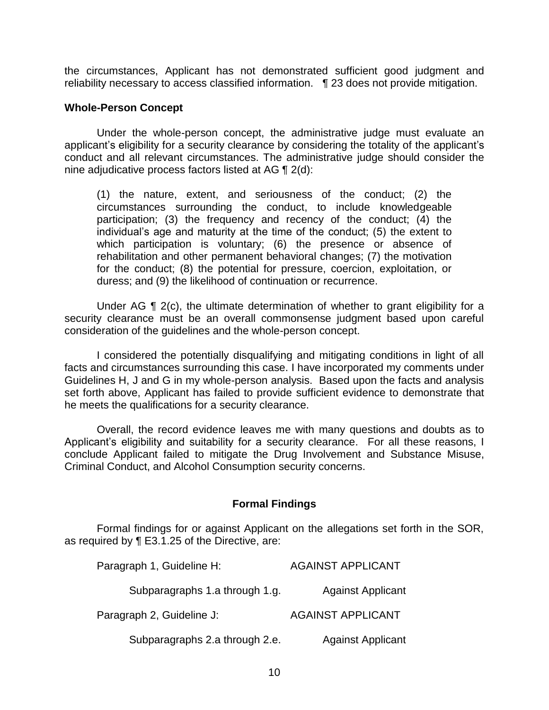reliability necessary to access classified information. ¶ 23 does not provide mitigation. the circumstances, Applicant has not demonstrated sufficient good judgment and

#### **Whole-Person Concept**

 Under the whole-person concept, the administrative judge must evaluate an applicant's eligibility for a security clearance by considering the totality of the applicant's conduct and all relevant circumstances. The administrative judge should consider the nine adjudicative process factors listed at AG ¶ 2(d):

(1) the nature, extent, and seriousness of the conduct; (2) the circumstances surrounding the conduct, to include knowledgeable participation; (3) the frequency and recency of the conduct; (4) the individual's age and maturity at the time of the conduct; (5) the extent to which participation is voluntary; (6) the presence or absence of rehabilitation and other permanent behavioral changes; (7) the motivation for the conduct; (8) the potential for pressure, coercion, exploitation, or duress; and (9) the likelihood of continuation or recurrence.

Under AG ¶ 2(c), the ultimate determination of whether to grant eligibility for a security clearance must be an overall commonsense judgment based upon careful consideration of the guidelines and the whole-person concept.

 I considered the potentially disqualifying and mitigating conditions in light of all facts and circumstances surrounding this case. I have incorporated my comments under Guidelines H, J and G in my whole-person analysis. Based upon the facts and analysis set forth above, Applicant has failed to provide sufficient evidence to demonstrate that he meets the qualifications for a security clearance.

he meets the qualifications for a security clearance.<br>Overall, the record evidence leaves me with many questions and doubts as to Applicant's eligibility and suitability for a security clearance. For all these reasons, I conclude Applicant failed to mitigate the Drug Involvement and Substance Misuse, Criminal Conduct, and Alcohol Consumption security concerns.

#### **Formal Findings**

 Formal findings for or against Applicant on the allegations set forth in the SOR, as required by ¶ E3.1.25 of the Directive, are:

| Paragraph 1, Guideline H:      | <b>AGAINST APPLICANT</b> |
|--------------------------------|--------------------------|
| Subparagraphs 1.a through 1.g. | <b>Against Applicant</b> |
| Paragraph 2, Guideline J:      | <b>AGAINST APPLICANT</b> |
| Subparagraphs 2.a through 2.e. | <b>Against Applicant</b> |